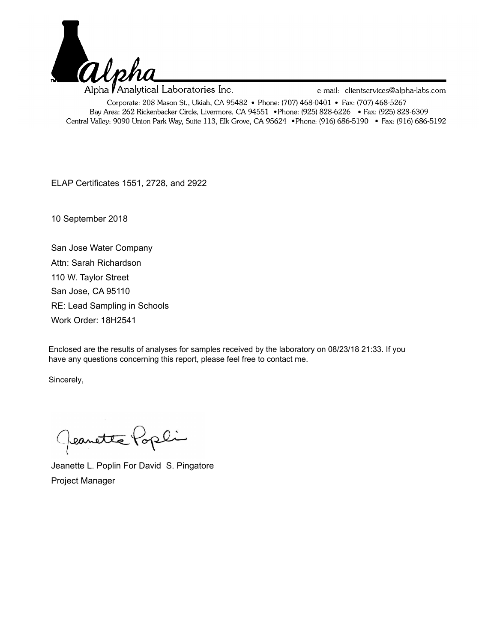

Alpha *P*Analytical Laboratories Inc. e-mail: clientservices@alpha-labs.com Corporate: 208 Mason St., Ukiah, CA 95482 • Phone: (707) 468-0401 • Fax: (707) 468-5267 Bay Area: 262 Rickenbacker Circle, Livermore, CA 94551 • Phone: (925) 828-6226 • Fax: (925) 828-6309 Central Valley: 9090 Union Park Way, Suite 113, Elk Grove, CA 95624 • Phone: (916) 686-5190 • Fax: (916) 686-5192

ELAP Certificates 1551, 2728, and 2922

10 September 2018

San Jose Water Company RE: Lead Sampling in Schools San Jose, CA 95110 110 W. Taylor Street Work Order: 18H2541 Attn: Sarah Richardson

Enclosed are the results of analyses for samples received by the laboratory on 08/23/18 21:33. If you have any questions concerning this report, please feel free to contact me.

Sincerely,

Geanette Popli

Jeanette L. Poplin For David S. Pingatore Project Manager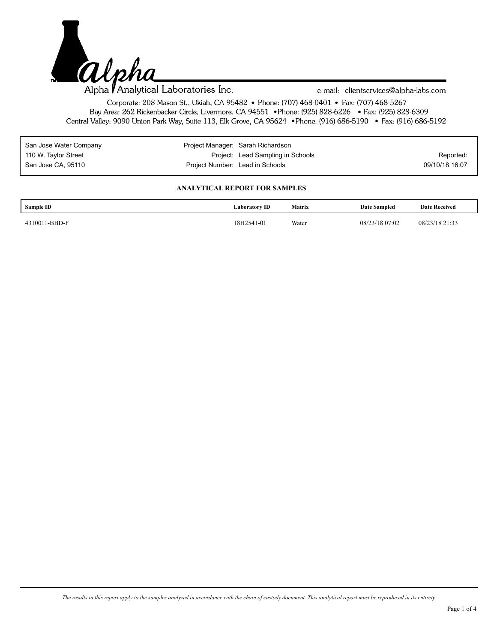

e-mail: clientservices@alpha-labs.com

Corporate: 208 Mason St., Ukiah, CA 95482 • Phone: (707) 468-0401 • Fax: (707) 468-5267 Bay Area: 262 Rickenbacker Circle, Livermore, CA 94551 • Phone: (925) 828-6226 • Fax: (925) 828-6309 Central Valley: 9090 Union Park Way, Suite 113, Elk Grove, CA 95624 • Phone: (916) 686-5190 • Fax: (916) 686-5192

| San Jose Water Company |                                 | Project Manager: Sarah Richardson |                |
|------------------------|---------------------------------|-----------------------------------|----------------|
| 110 W. Taylor Street   |                                 | Project: Lead Sampling in Schools | Reported:      |
| San Jose CA, 95110     | Project Number: Lead in Schools |                                   | 09/10/18 16:07 |

## **ANALYTICAL REPORT FOR SAMPLES**

| Sample ID     | <b>Laboratory ID</b> | <b>Matrix</b> | Date Sampled   | <b>Date Received</b> |
|---------------|----------------------|---------------|----------------|----------------------|
| 4310011-BBD-F | 18H2541-01           | Water         | 08/23/18 07:02 | 08/23/18 21:33       |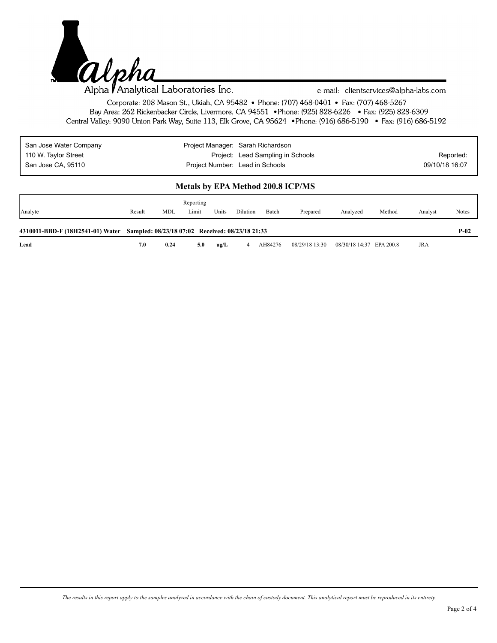

e-mail: clientservices@alpha-labs.com

Corporate: 208 Mason St., Ukiah, CA 95482 • Phone: (707) 468-0401 • Fax: (707) 468-5267 Bay Area: 262 Rickenbacker Circle, Livermore, CA 94551 • Phone: (925) 828-6226 • Fax: (925) 828-6309 Central Valley: 9090 Union Park Way, Suite 113, Elk Grove, CA 95624 • Phone: (916) 686-5190 • Fax: (916) 686-5192

| San Jose Water Company | Project Manager: Sarah Richardson |                |
|------------------------|-----------------------------------|----------------|
| 110 W. Taylor Street   | Project: Lead Sampling in Schools | Reported:      |
| San Jose CA, 95110     | Project Number: Lead in Schools   | 09/10/18 16:07 |

## **Metals by EPA Method 200.8 ICP/MS**

| Analyte                                                                           | Result | MDL  | Reporting<br>Limit | Units | Dilution | Batch   | Prepared       | Analyzed                 | Method | Analyst | Notes  |
|-----------------------------------------------------------------------------------|--------|------|--------------------|-------|----------|---------|----------------|--------------------------|--------|---------|--------|
| 4310011-BBD-F (18H2541-01) Water Sampled: 08/23/18 07:02 Received: 08/23/18 21:33 |        |      |                    |       |          |         |                |                          |        |         | $P-02$ |
| Lead                                                                              | 7.0    | 0.24 | 5.0                | ug/L  |          | AH84276 | 08/29/18 13:30 | 08/30/18 14:37 EPA 200.8 |        | JRA     |        |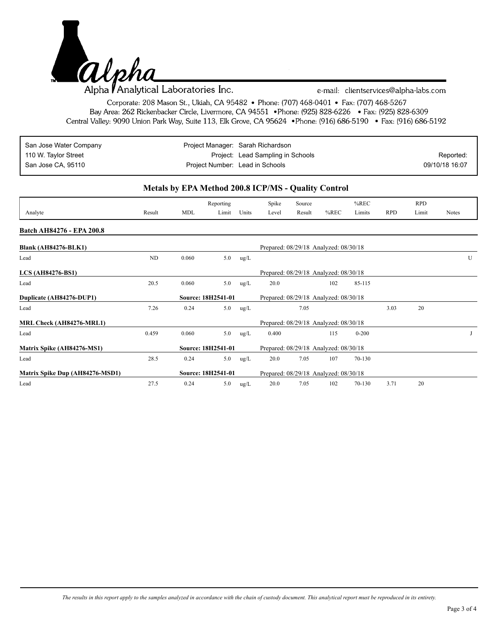

e-mail: clientservices@alpha-labs.com

Corporate: 208 Mason St., Ukiah, CA 95482 • Phone: (707) 468-0401 • Fax: (707) 468-5267 Bay Area: 262 Rickenbacker Circle, Livermore, CA 94551 • Phone: (925) 828-6226 • Fax: (925) 828-6309 Central Valley: 9090 Union Park Way, Suite 113, Elk Grove, CA 95624 • Phone: (916) 686-5190 • Fax: (916) 686-5192

| San Jose Water Company | Project Manager: Sarah Richardson |                |
|------------------------|-----------------------------------|----------------|
| 110 W. Taylor Street   | Project: Lead Sampling in Schools | Reported:      |
| San Jose CA, 95110     | Project Number: Lead in Schools   | 09/10/18 16:07 |

## **Metals by EPA Method 200.8 ICP/MS - Quality Control**

|                                 |        |                    | Reporting |       | Spike | Source                                |         | $%$ REC   |            | <b>RPD</b> |              |
|---------------------------------|--------|--------------------|-----------|-------|-------|---------------------------------------|---------|-----------|------------|------------|--------------|
| Analyte                         | Result | <b>MDL</b>         | Limit     | Units | Level | Result                                | $%$ REC | Limits    | <b>RPD</b> | Limit      | <b>Notes</b> |
| Batch AH84276 - EPA 200.8       |        |                    |           |       |       |                                       |         |           |            |            |              |
| <b>Blank (AH84276-BLK1)</b>     |        |                    |           |       |       | Prepared: 08/29/18 Analyzed: 08/30/18 |         |           |            |            |              |
| Lead                            | ND     | 0.060              | 5.0       | ug/L  |       |                                       |         |           |            |            | U            |
| <b>LCS (AH84276-BS1)</b>        |        |                    |           |       |       | Prepared: 08/29/18 Analyzed: 08/30/18 |         |           |            |            |              |
| Lead                            | 20.5   | 0.060              | 5.0       | ug/L  | 20.0  |                                       | 102     | 85-115    |            |            |              |
| Duplicate (AH84276-DUP1)        |        | Source: 18H2541-01 |           |       |       | Prepared: 08/29/18 Analyzed: 08/30/18 |         |           |            |            |              |
| Lead                            | 7.26   | 0.24               | 5.0       | ug/L  |       | 7.05                                  |         |           | 3.03       | 20         |              |
| MRL Check (AH84276-MRL1)        |        |                    |           |       |       | Prepared: 08/29/18 Analyzed: 08/30/18 |         |           |            |            |              |
| Lead                            | 0.459  | 0.060              | 5.0       | ug/L  | 0.400 |                                       | 115     | $0 - 200$ |            |            |              |
| Matrix Spike (AH84276-MS1)      |        | Source: 18H2541-01 |           |       |       | Prepared: 08/29/18 Analyzed: 08/30/18 |         |           |            |            |              |
| Lead                            | 28.5   | 0.24               | 5.0       | ug/L  | 20.0  | 7.05                                  | 107     | 70-130    |            |            |              |
| Matrix Spike Dup (AH84276-MSD1) |        | Source: 18H2541-01 |           |       |       | Prepared: 08/29/18 Analyzed: 08/30/18 |         |           |            |            |              |
| Lead                            | 27.5   | 0.24               | 5.0       | ug/L  | 20.0  | 7.05                                  | 102     | 70-130    | 3.71       | 20         |              |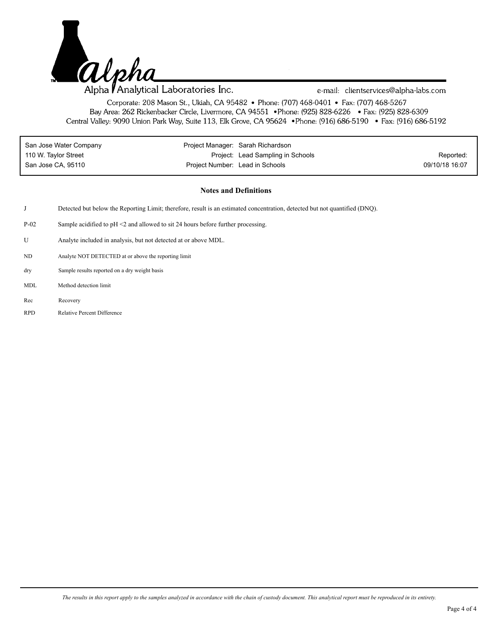

e-mail: clientservices@alpha-labs.com

Corporate: 208 Mason St., Ukiah, CA 95482 • Phone: (707) 468-0401 • Fax: (707) 468-5267 Bay Area: 262 Rickenbacker Circle, Livermore, CA 94551 • Phone: (925) 828-6226 • Fax: (925) 828-6309 Central Valley: 9090 Union Park Way, Suite 113, Elk Grove, CA 95624 • Phone: (916) 686-5190 • Fax: (916) 686-5192

| San Jose Water Company | Project Manager: Sarah Richardson |                                   |                |
|------------------------|-----------------------------------|-----------------------------------|----------------|
| 110 W. Taylor Street   |                                   | Project: Lead Sampling in Schools | Reported:      |
| San Jose CA. 95110     | Project Number: Lead in Schools   |                                   | 09/10/18 16:07 |

## **Notes and Definitions**

- J Detected but below the Reporting Limit; therefore, result is an estimated concentration, detected but not quantified (DNQ).
- P-02 Sample acidified to pH <2 and allowed to sit 24 hours before further processing.
- U Analyte included in analysis, but not detected at or above MDL.
- ND Analyte NOT DETECTED at or above the reporting limit
- Sample results reported on a dry weight basis dry
- MDL Method detection limit
- Rec Recovery
- RPD Relative Percent Difference